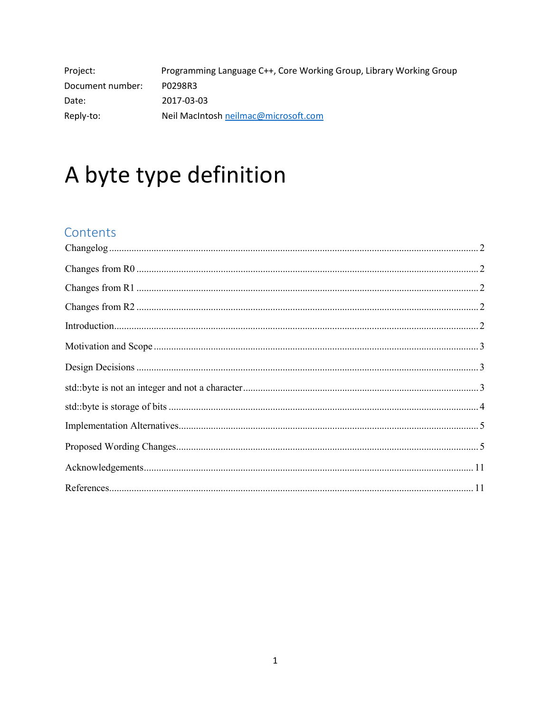| Project:         | Programming Language C++, Core Working Group, Library Working Group |
|------------------|---------------------------------------------------------------------|
| Document number: | P0298R3                                                             |
| Date:            | 2017-03-03                                                          |
| Reply-to:        | Neil MacIntosh neilmac@microsoft.com                                |

# A byte type definition

# Contents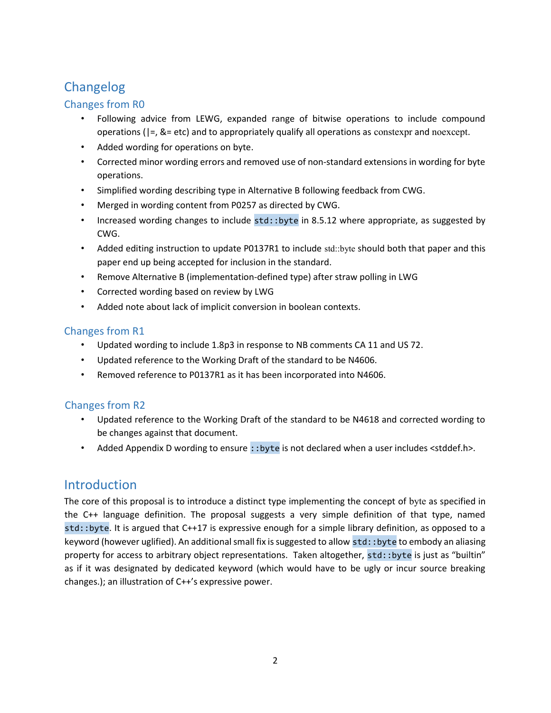# Changelog

## Changes from R0

- Following advice from LEWG, expanded range of bitwise operations to include compound operations ( $|=$ ,  $\&=$  etc) and to appropriately qualify all operations as constexpr and noexcept.
- Added wording for operations on byte.
- Corrected minor wording errors and removed use of non-standard extensions in wording for byte operations.
- Simplified wording describing type in Alternative B following feedback from CWG.
- Merged in wording content from P0257 as directed by CWG.
- Increased wording changes to include std::byte in 8.5.12 where appropriate, as suggested by CWG.
- Added editing instruction to update P0137R1 to include std::byte should both that paper and this paper end up being accepted for inclusion in the standard.
- Remove Alternative B (implementation-defined type) after straw polling in LWG
- Corrected wording based on review by LWG
- Added note about lack of implicit conversion in boolean contexts.

## Changes from R1

- Updated wording to include 1.8p3 in response to NB comments CA 11 and US 72.
- Updated reference to the Working Draft of the standard to be N4606.
- Removed reference to P0137R1 as it has been incorporated into N4606.

## Changes from R2

- Updated reference to the Working Draft of the standard to be N4618 and corrected wording to be changes against that document.
- Added Appendix D wording to ensure ::byte is not declared when a user includes <stddef.h>.

# **Introduction**

The core of this proposal is to introduce a distinct type implementing the concept of byte as specified in the C++ language definition. The proposal suggests a very simple definition of that type, named std::byte. It is argued that C++17 is expressive enough for a simple library definition, as opposed to a keyword (however uglified). An additional small fix is suggested to allow std::byte to embody an aliasing property for access to arbitrary object representations. Taken altogether, std::byte is just as "builtin" as if it was designated by dedicated keyword (which would have to be ugly or incur source breaking changes.); an illustration of C++'s expressive power.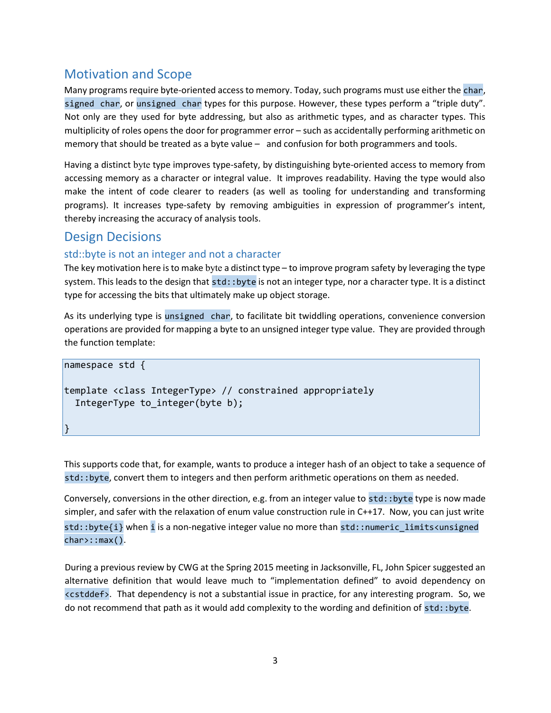# Motivation and Scope

Many programs require byte-oriented access to memory. Today, such programs must use either the char, signed char, or unsigned char types for this purpose. However, these types perform a "triple duty". Not only are they used for byte addressing, but also as arithmetic types, and as character types. This multiplicity of roles opens the door for programmer error – such as accidentally performing arithmetic on memory that should be treated as a byte value – and confusion for both programmers and tools.

Having a distinct byte type improves type-safety, by distinguishing byte-oriented access to memory from accessing memory as a character or integral value. It improves readability. Having the type would also make the intent of code clearer to readers (as well as tooling for understanding and transforming programs). It increases type-safety by removing ambiguities in expression of programmer's intent, thereby increasing the accuracy of analysis tools.

# Design Decisions

}

## std::byte is not an integer and not a character

The key motivation here is to make byte a distinct type – to improve program safety by leveraging the type system. This leads to the design that std::byte is not an integer type, nor a character type. It is a distinct type for accessing the bits that ultimately make up object storage.

As its underlying type is unsigned char, to facilitate bit twiddling operations, convenience conversion operations are provided for mapping a byte to an unsigned integer type value. They are provided through the function template:

```
namespace std { 
template <class IntegerType> // constrained appropriately 
   IntegerType to_integer(byte b);
```
This supports code that, for example, wants to produce a integer hash of an object to take a sequence of std::byte, convert them to integers and then perform arithmetic operations on them as needed.

Conversely, conversions in the other direction, e.g. from an integer value to std::byte type is now made simpler, and safer with the relaxation of enum value construction rule in C++17. Now, you can just write std::byte{i} when i is a non-negative integer value no more than std::numeric\_limits<unsigned char>::max().

During a previous review by CWG at the Spring 2015 meeting in Jacksonville, FL, John Spicer suggested an alternative definition that would leave much to "implementation defined" to avoid dependency on <cstddef>. That dependency is not a substantial issue in practice, for any interesting program. So, we do not recommend that path as it would add complexity to the wording and definition of std: : byte.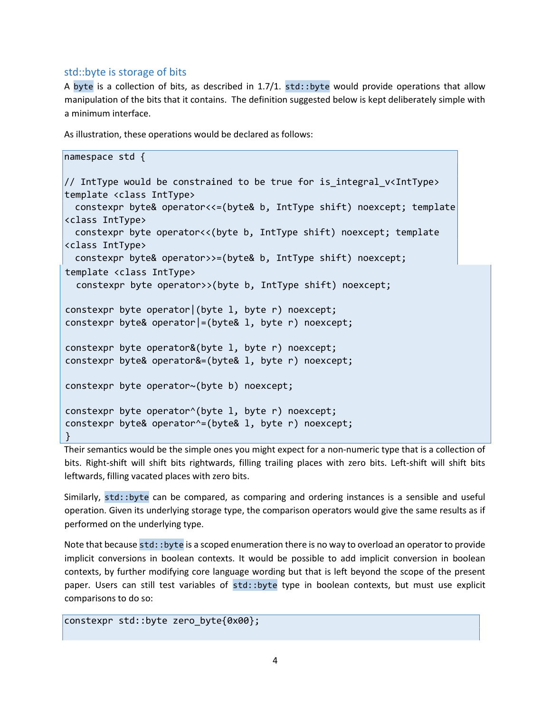#### std::byte is storage of bits

A byte is a collection of bits, as described in 1.7/1. std::byte would provide operations that allow manipulation of the bits that it contains. The definition suggested below is kept deliberately simple with a minimum interface.

As illustration, these operations would be declared as follows:

```
namespace std { 
// IntType would be constrained to be true for is_integral_v<IntType> 
template <class IntType> 
   constexpr byte& operator<<=(byte& b, IntType shift) noexcept; template 
<class IntType> 
   constexpr byte operator<<(byte b, IntType shift) noexcept; template 
<class IntType> 
   constexpr byte& operator>>=(byte& b, IntType shift) noexcept; 
template <class IntType> 
   constexpr byte operator>>(byte b, IntType shift) noexcept; 
constexpr byte operator|(byte l, byte r) noexcept; 
constexpr byte& operator|=(byte& l, byte r) noexcept; 
constexpr byte operator&(byte l, byte r) noexcept; 
constexpr byte& operator&=(byte& l, byte r) noexcept; 
constexpr byte operator~(byte b) noexcept; 
constexpr byte operator^(byte l, byte r) noexcept; 
constexpr byte& operator^=(byte& l, byte r) noexcept; 
}
```
Their semantics would be the simple ones you might expect for a non-numeric type that is a collection of bits. Right-shift will shift bits rightwards, filling trailing places with zero bits. Left-shift will shift bits leftwards, filling vacated places with zero bits.

Similarly, std::byte can be compared, as comparing and ordering instances is a sensible and useful operation. Given its underlying storage type, the comparison operators would give the same results as if performed on the underlying type.

Note that because std::byte is a scoped enumeration there is no way to overload an operator to provide implicit conversions in boolean contexts. It would be possible to add implicit conversion in boolean contexts, by further modifying core language wording but that is left beyond the scope of the present paper. Users can still test variables of std::byte type in boolean contexts, but must use explicit comparisons to do so:

```
constexpr std::byte zero_byte{0x00};
```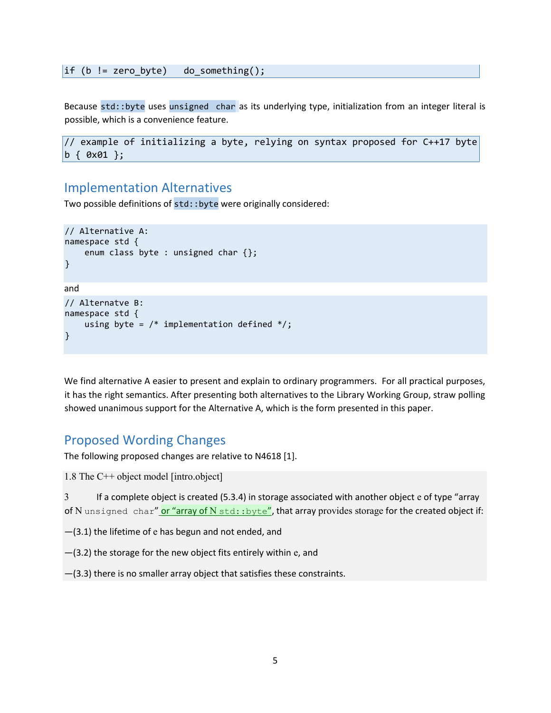if (b != zero byte) do something();

Because std::byte uses unsigned char as its underlying type, initialization from an integer literal is possible, which is a convenience feature.

```
// example of initializing a byte, relying on syntax proposed for C++17 byte 
b { 0x01 };
```
## Implementation Alternatives

Two possible definitions of std::byte were originally considered:

```
// Alternative A: 
namespace std { 
     enum class byte : unsigned char {}; 
}
and 
// Alternatve B: 
namespace std { 
    using byte = /* implementation defined */;}
```
We find alternative A easier to present and explain to ordinary programmers. For all practical purposes, it has the right semantics. After presenting both alternatives to the Library Working Group, straw polling showed unanimous support for the Alternative A, which is the form presented in this paper.

## Proposed Wording Changes

The following proposed changes are relative to N4618 [1].

1.8 The C++ object model [intro.object]

3 If a complete object is created (5.3.4) in storage associated with another object e of type "array of N unsigned char" or "array of N std::byte", that array provides storage for the created object if:

—(3.1) the lifetime of e has begun and not ended, and

—(3.2) the storage for the new object fits entirely within e, and

—(3.3) there is no smaller array object that satisfies these constraints.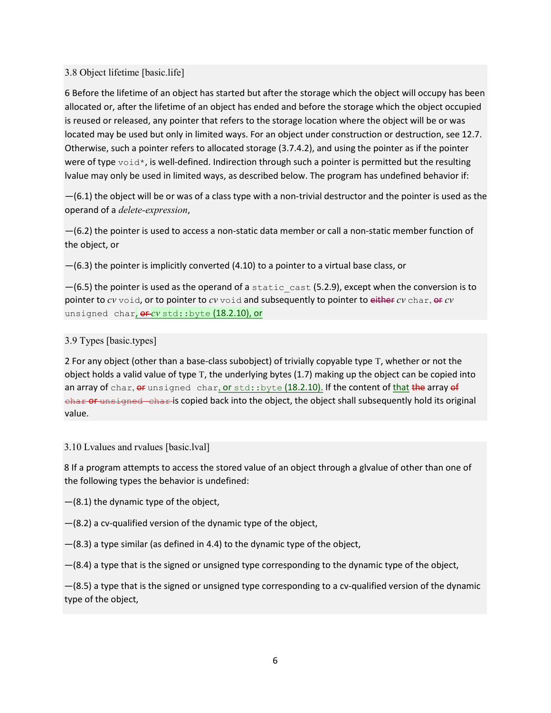#### 3.8 Object lifetime [basic.life]

6 Before the lifetime of an object has started but after the storage which the object will occupy has been allocated or, after the lifetime of an object has ended and before the storage which the object occupied is reused or released, any pointer that refers to the storage location where the object will be or was located may be used but only in limited ways. For an object under construction or destruction, see 12.7. Otherwise, such a pointer refers to allocated storage (3.7.4.2), and using the pointer as if the pointer were of type  $\text{void}^*$ , is well-defined. Indirection through such a pointer is permitted but the resulting lvalue may only be used in limited ways, as described below. The program has undefined behavior if:

 $-(6.1)$  the object will be or was of a class type with a non-trivial destructor and the pointer is used as the operand of a delete-expression,

—(6.2) the pointer is used to access a non-static data member or call a non-static member function of the object, or

—(6.3) the pointer is implicitly converted (4.10) to a pointer to a virtual base class, or

 $-(6.5)$  the pointer is used as the operand of a static cast (5.2.9), except when the conversion is to pointer to  $cv$  void, or to pointer to  $cv$  void and subsequently to pointer to either  $cv$  char, or  $cv$ unsigned char, **OF-CV** std::byte (18.2.10), or

#### 3.9 Types [basic.types]

2 For any object (other than a base-class subobject) of trivially copyable type T, whether or not the object holds a valid value of type T, the underlying bytes (1.7) making up the object can be copied into an array of char,  $e^{f}$  unsigned char, or std::byte (18.2.10). If the content of that the array  $e^{f}$ char or unsigned char is copied back into the object, the object shall subsequently hold its original value.

#### 3.10 Lvalues and rvalues [basic.lval]

8 If a program attempts to access the stored value of an object through a glvalue of other than one of the following types the behavior is undefined:

—(8.1) the dynamic type of the object,

—(8.2) a cv-qualified version of the dynamic type of the object,

—(8.3) a type similar (as defined in 4.4) to the dynamic type of the object,

—(8.4) a type that is the signed or unsigned type corresponding to the dynamic type of the object,

—(8.5) a type that is the signed or unsigned type corresponding to a cv-qualified version of the dynamic type of the object,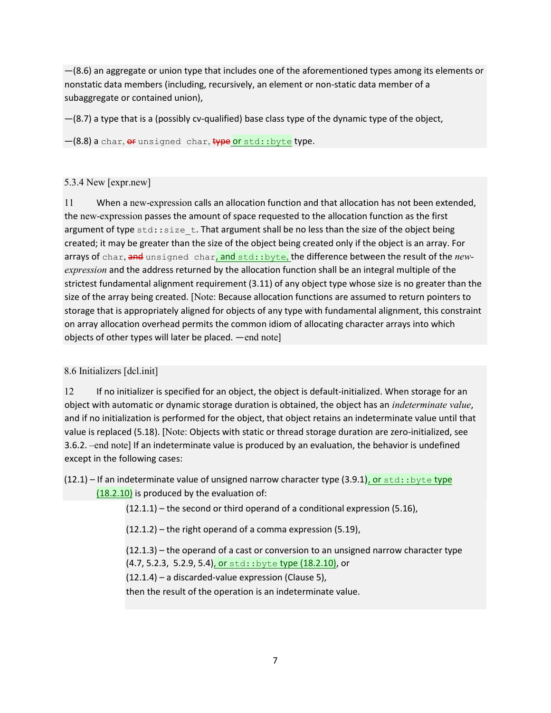$-(8.6)$  an aggregate or union type that includes one of the aforementioned types among its elements or nonstatic data members (including, recursively, an element or non-static data member of a subaggregate or contained union),

—(8.7) a type that is a (possibly cv-qualified) base class type of the dynamic type of the object,

 $-(8.8)$  a char,  $e^{i}$  unsigned char,  $\frac{f}{f}$  are std::byte type.

#### 5.3.4 New [expr.new]

11 When a new-expression calls an allocation function and that allocation has not been extended, the new-expression passes the amount of space requested to the allocation function as the first argument of type  $\text{std}$ :  $\text{size}$   $\text{t}$ . That argument shall be no less than the size of the object being created; it may be greater than the size of the object being created only if the object is an array. For arrays of char, and unsigned char, and std::byte, the difference between the result of the newexpression and the address returned by the allocation function shall be an integral multiple of the strictest fundamental alignment requirement (3.11) of any object type whose size is no greater than the size of the array being created. [Note: Because allocation functions are assumed to return pointers to storage that is appropriately aligned for objects of any type with fundamental alignment, this constraint on array allocation overhead permits the common idiom of allocating character arrays into which objects of other types will later be placed. —end note]

## 8.6 Initializers [dcl.init]

12 If no initializer is specified for an object, the object is default-initialized. When storage for an object with automatic or dynamic storage duration is obtained, the object has an *indeterminate value*, and if no initialization is performed for the object, that object retains an indeterminate value until that value is replaced (5.18). [Note: Objects with static or thread storage duration are zero-initialized, see 3.6.2. –end note] If an indeterminate value is produced by an evaluation, the behavior is undefined except in the following cases:

 $(12.1)$  – If an indeterminate value of unsigned narrow character type  $(3.9.1)$ , or std::byte type  $(18.2.10)$  is produced by the evaluation of:

(12.1.1) – the second or third operand of a conditional expression (5.16),

(12.1.2) – the right operand of a comma expression (5.19),

(12.1.3) – the operand of a cast or conversion to an unsigned narrow character type (4.7, 5.2.3, 5.2.9, 5.4), or std::byte type (18.2.10), or

(12.1.4) – a discarded-value expression (Clause 5),

then the result of the operation is an indeterminate value.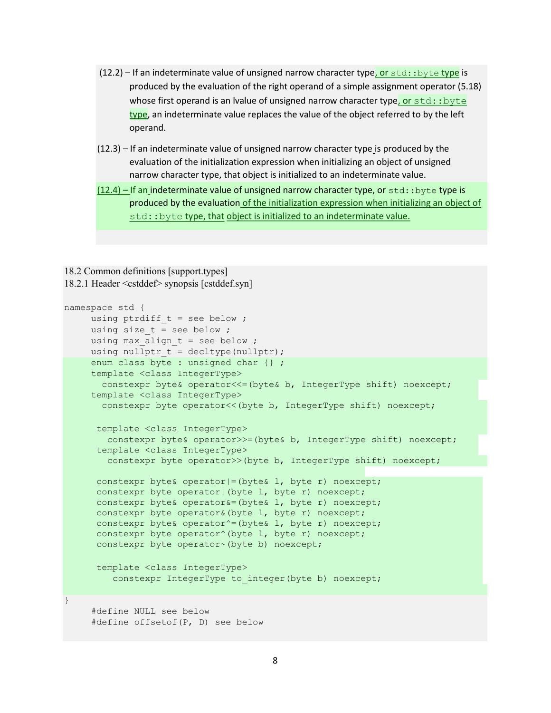- (12.2) If an indeterminate value of unsigned narrow character type, or std::byte type is produced by the evaluation of the right operand of a simple assignment operator (5.18) whose first operand is an Ivalue of unsigned narrow character type, or  $std:byte$ type, an indeterminate value replaces the value of the object referred to by the left operand.
- (12.3) If an indeterminate value of unsigned narrow character type is produced by the evaluation of the initialization expression when initializing an object of unsigned narrow character type, that object is initialized to an indeterminate value.
- $(12.4)$  If an indeterminate value of unsigned narrow character type, or std::byte type is produced by the evaluation of the initialization expression when initializing an object of std:: byte type, that object is initialized to an indeterminate value.

#### 18.2 Common definitions [support.types] 18.2.1 Header <cstddef> synopsis [cstddef.syn]

```
namespace std { 
    using ptrdiff t = see below ;
    using size t = see below ;
    using max align t = see below ;
    using nullptr t = decltype(nullptr);
    enum class byte : unsigned char {} ;
     template <class IntegerType> 
       constexpr byte& operator<<= (byte& b, IntegerType shift) noexcept;
     template <class IntegerType> 
       constexpr byte operator<< (byte b, IntegerType shift) noexcept;
       template <class IntegerType> 
       constexpr byte& operator>>=(byte& b, IntegerType shift) noexcept;
       template <class IntegerType> 
         constexpr byte operator>>(byte b, IntegerType shift) noexcept; 
       constexpr byte& operator|=(byte& l, byte r) noexcept; 
      constexpr byte operator| (byte 1, byte r) noexcept;
       constexpr byte& operator&=(byte& l, byte r) noexcept; 
       constexpr byte operator&(byte l, byte r) noexcept; 
      constexpr byte& operator^=(byte& l, byte r) noexcept;
      constexpr byte operator<sup>^</sup>(byte l, byte r) noexcept;
       constexpr byte operator~(byte b) noexcept; 
       template <class IntegerType> 
         constexpr IntegerType to integer(byte b) noexcept;
} 
      #define NULL see below
```

```
 #define offsetof(P, D) see below
```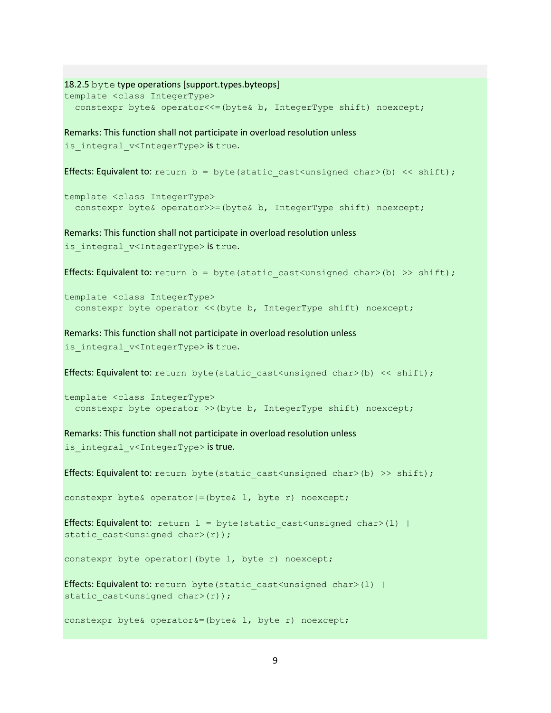```
18.2.5 byte type operations [support.types.byteops] 
template <class IntegerType> 
   constexpr byte& operator<<=(byte& b, IntegerType shift) noexcept; 
Remarks: This function shall not participate in overload resolution unless 
is integral v<IntegerType> is true.
Effects: Equivalent to: return b = byte(static cast<unsigned char>(b) << shift);template <class IntegerType> 
   constexpr byte& operator>>=(byte& b, IntegerType shift) noexcept;
Remarks: This function shall not participate in overload resolution unless 
is integral v<IntegerType> is true.
Effects: Equivalent to: return b = byte(static cast<unsigned char>(b) >> shift);
template <class IntegerType> 
  constexpr byte operator << (byte b, IntegerType shift) noexcept;
Remarks: This function shall not participate in overload resolution unless 
is integral v<IntegerType> is true.
Effects: Equivalent to: return byte(static cast<unsigned char>(b) << shift);
template <class IntegerType> 
   constexpr byte operator >>(byte b, IntegerType shift) noexcept; 
Remarks: This function shall not participate in overload resolution unless 
is integral v<IntegerType> is true.
Effects: Equivalent to: return byte(static cast<unsigned char>(b) >> shift);
```
constexpr byte& operator|=(byte& l, byte r) noexcept;

Effects: Equivalent to: return  $l = byte(static cast<\omega nsigned char>(l)$  | static cast<unsigned char>(r));

constexpr byte operator| (byte 1, byte r) noexcept;

```
Effects: Equivalent to: return byte (static cast<unsigned char>(l) |
static cast<unsigned char>(r));
```
constexpr byte& operator&=(byte& l, byte r) noexcept;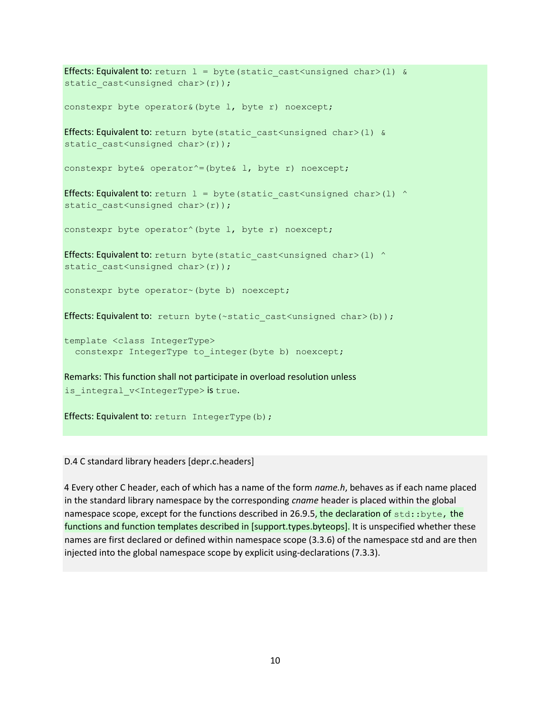```
Effects: Equivalent to: return 1 = byte(static cast<unsigned char>(1) &
static cast<unsigned char>(r));
constexpr byte operator&(byte l, byte r) noexcept; 
Effects: Equivalent to: return byte (static cast<unsigned char>(1) &
static cast<unsigned char>(r));
constexpr byte& operator^=(byte& l, byte r) noexcept; 
Effects: Equivalent to: return l = byte (static cast<\{unsigned char>(l) ^{\wedge}static cast<unsigned char>(r));
constexpr byte operator<sup>^</sup>(byte 1, byte r) noexcept;
Effects: Equivalent to: return byte(static cast<unsigned char>(l) ^
static_cast<unsigned char>(r));
constexpr byte operator~(byte b) noexcept; 
Effects: Equivalent to: return byte(\simstatic cast<unsigned char>(b));
template <class IntegerType> 
  constexpr IntegerType to integer(byte b) noexcept;
Remarks: This function shall not participate in overload resolution unless 
is integral v<IntegerType> is true.
```
Effects: Equivalent to: return IntegerType(b);

D.4 C standard library headers [depr.c.headers]

4 Every other C header, each of which has a name of the form name.h, behaves as if each name placed in the standard library namespace by the corresponding cname header is placed within the global namespace scope, except for the functions described in 26.9.5, the declaration of  $std:byte$ , the functions and function templates described in [support.types.byteops]. It is unspecified whether these names are first declared or defined within namespace scope (3.3.6) of the namespace std and are then injected into the global namespace scope by explicit using-declarations (7.3.3).